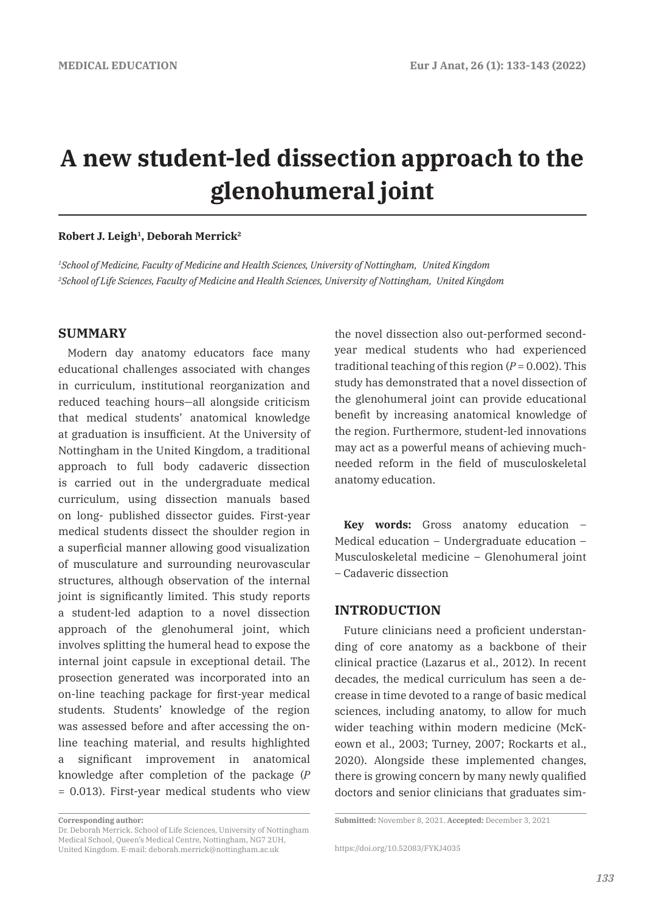# **A new student-led dissection approach to the glenohumeral joint**

#### **Robert J. Leigh1, Deborah Merrick2**

*1 School of Medicine, Faculty of Medicine and Health Sciences, University of Nottingham, United Kingdom 2 School of Life Sciences, Faculty of Medicine and Health Sciences, University of Nottingham, United Kingdom*

## **SUMMARY**

Modern day anatomy educators face many educational challenges associated with changes in curriculum, institutional reorganization and reduced teaching hours—all alongside criticism that medical students' anatomical knowledge at graduation is insufficient. At the University of Nottingham in the United Kingdom, a traditional approach to full body cadaveric dissection is carried out in the undergraduate medical curriculum, using dissection manuals based on long- published dissector guides. First-year medical students dissect the shoulder region in a superficial manner allowing good visualization of musculature and surrounding neurovascular structures, although observation of the internal joint is significantly limited. This study reports a student-led adaption to a novel dissection approach of the glenohumeral joint, which involves splitting the humeral head to expose the internal joint capsule in exceptional detail. The prosection generated was incorporated into an on-line teaching package for first-year medical students. Students' knowledge of the region was assessed before and after accessing the online teaching material, and results highlighted a significant improvement in anatomical knowledge after completion of the package (*P*  = 0.013). First-year medical students who view

the novel dissection also out-performed secondyear medical students who had experienced traditional teaching of this region (*P* = 0.002). This study has demonstrated that a novel dissection of the glenohumeral joint can provide educational benefit by increasing anatomical knowledge of the region. Furthermore, student-led innovations may act as a powerful means of achieving muchneeded reform in the field of musculoskeletal anatomy education.

**Key words:** Gross anatomy education – Medical education – Undergraduate education – Musculoskeletal medicine – Glenohumeral joint – Cadaveric dissection

## **INTRODUCTION**

Future clinicians need a proficient understanding of core anatomy as a backbone of their clinical practice (Lazarus et al., 2012). In recent decades, the medical curriculum has seen a decrease in time devoted to a range of basic medical sciences, including anatomy, to allow for much wider teaching within modern medicine (McKeown et al., 2003; Turney, 2007; Rockarts et al., 2020). Alongside these implemented changes, there is growing concern by many newly qualified doctors and senior clinicians that graduates sim-

**Corresponding author:** 

Dr. Deborah Merrick. School of Life Sciences, University of Nottingham Medical School, Queen's Medical Centre, Nottingham, NG7 2UH, United Kingdom. E-mail: deborah.merrick@nottingham.ac.uk

**Submitted:** November 8, 2021. **Accepted:** December 3, 2021

https://doi.org/10.52083/FYKJ4035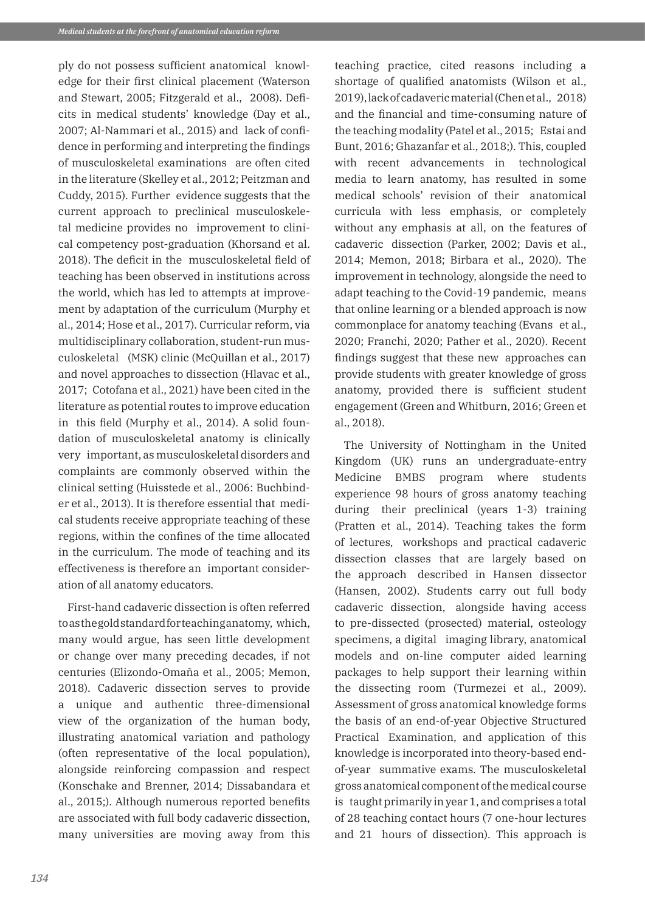ply do not possess sufficient anatomical knowledge for their first clinical placement (Waterson and Stewart, 2005; Fitzgerald et al., 2008). Deficits in medical students' knowledge (Day et al., 2007; Al-Nammari et al., 2015) and lack of confidence in performing and interpreting the findings of musculoskeletal examinations are often cited in the literature (Skelley et al., 2012; Peitzman and Cuddy, 2015). Further evidence suggests that the current approach to preclinical musculoskeletal medicine provides no improvement to clinical competency post-graduation (Khorsand et al. 2018). The deficit in the musculoskeletal field of teaching has been observed in institutions across the world, which has led to attempts at improvement by adaptation of the curriculum (Murphy et al., 2014; Hose et al., 2017). Curricular reform, via multidisciplinary collaboration, student-run musculoskeletal (MSK) clinic (McQuillan et al., 2017) and novel approaches to dissection (Hlavac et al., 2017; Cotofana et al., 2021) have been cited in the literature as potential routes to improve education in this field (Murphy et al., 2014). A solid foundation of musculoskeletal anatomy is clinically very important, as musculoskeletal disorders and complaints are commonly observed within the clinical setting (Huisstede et al., 2006: Buchbinder et al., 2013). It is therefore essential that medical students receive appropriate teaching of these regions, within the confines of the time allocated in the curriculum. The mode of teaching and its effectiveness is therefore an important consideration of all anatomy educators.

First-hand cadaveric dissection is often referred to as the gold standard for teaching anatomy, which, many would argue, has seen little development or change over many preceding decades, if not centuries (Elizondo-Omaña et al., 2005; Memon, 2018). Cadaveric dissection serves to provide a unique and authentic three-dimensional view of the organization of the human body, illustrating anatomical variation and pathology (often representative of the local population), alongside reinforcing compassion and respect (Konschake and Brenner, 2014; Dissabandara et al., 2015;). Although numerous reported benefits are associated with full body cadaveric dissection, many universities are moving away from this

teaching practice, cited reasons including a shortage of qualified anatomists (Wilson et al., 2019), lack of cadaveric material (Chen et al., 2018) and the financial and time-consuming nature of the teaching modality (Patel et al., 2015; Estai and Bunt, 2016; Ghazanfar et al., 2018;). This, coupled with recent advancements in technological media to learn anatomy, has resulted in some medical schools' revision of their anatomical curricula with less emphasis, or completely without any emphasis at all, on the features of cadaveric dissection (Parker, 2002; Davis et al., 2014; Memon, 2018; Birbara et al., 2020). The improvement in technology, alongside the need to adapt teaching to the Covid-19 pandemic, means that online learning or a blended approach is now commonplace for anatomy teaching (Evans et al., 2020; Franchi, 2020; Pather et al., 2020). Recent findings suggest that these new approaches can provide students with greater knowledge of gross anatomy, provided there is sufficient student engagement (Green and Whitburn, 2016; Green et al., 2018).

The University of Nottingham in the United Kingdom (UK) runs an undergraduate-entry Medicine BMBS program where students experience 98 hours of gross anatomy teaching during their preclinical (years 1-3) training (Pratten et al., 2014). Teaching takes the form of lectures, workshops and practical cadaveric dissection classes that are largely based on the approach described in Hansen dissector (Hansen, 2002). Students carry out full body cadaveric dissection, alongside having access to pre-dissected (prosected) material, osteology specimens, a digital imaging library, anatomical models and on-line computer aided learning packages to help support their learning within the dissecting room (Turmezei et al., 2009). Assessment of gross anatomical knowledge forms the basis of an end-of-year Objective Structured Practical Examination, and application of this knowledge is incorporated into theory-based endof-year summative exams. The musculoskeletal gross anatomical component of the medical course is taught primarily in year 1, and comprises a total of 28 teaching contact hours (7 one-hour lectures and 21 hours of dissection). This approach is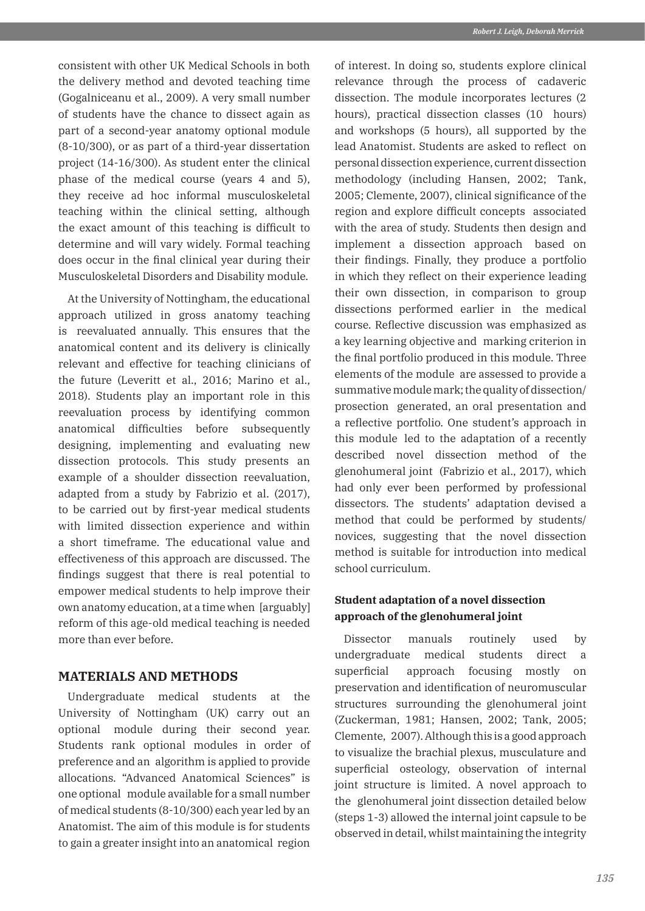consistent with other UK Medical Schools in both the delivery method and devoted teaching time (Gogalniceanu et al., 2009). A very small number of students have the chance to dissect again as part of a second-year anatomy optional module (8-10/300), or as part of a third-year dissertation project (14-16/300). As student enter the clinical phase of the medical course (years 4 and 5), they receive ad hoc informal musculoskeletal teaching within the clinical setting, although the exact amount of this teaching is difficult to determine and will vary widely. Formal teaching does occur in the final clinical year during their Musculoskeletal Disorders and Disability module.

At the University of Nottingham, the educational approach utilized in gross anatomy teaching is reevaluated annually. This ensures that the anatomical content and its delivery is clinically relevant and effective for teaching clinicians of the future (Leveritt et al., 2016; Marino et al., 2018). Students play an important role in this reevaluation process by identifying common anatomical difficulties before subsequently designing, implementing and evaluating new dissection protocols. This study presents an example of a shoulder dissection reevaluation, adapted from a study by Fabrizio et al. (2017), to be carried out by first-year medical students with limited dissection experience and within a short timeframe. The educational value and effectiveness of this approach are discussed. The findings suggest that there is real potential to empower medical students to help improve their own anatomy education, at a time when [arguably] reform of this age-old medical teaching is needed more than ever before.

# **MATERIALS AND METHODS**

Undergraduate medical students at the University of Nottingham (UK) carry out an optional module during their second year. Students rank optional modules in order of preference and an algorithm is applied to provide allocations. "Advanced Anatomical Sciences" is one optional module available for a small number of medical students (8-10/300) each year led by an Anatomist. The aim of this module is for students to gain a greater insight into an anatomical region of interest. In doing so, students explore clinical relevance through the process of cadaveric dissection. The module incorporates lectures (2 hours), practical dissection classes (10 hours) and workshops (5 hours), all supported by the lead Anatomist. Students are asked to reflect on personal dissection experience, current dissection methodology (including Hansen, 2002; Tank, 2005; Clemente, 2007), clinical significance of the region and explore difficult concepts associated with the area of study. Students then design and implement a dissection approach based on their findings. Finally, they produce a portfolio in which they reflect on their experience leading their own dissection, in comparison to group dissections performed earlier in the medical course. Reflective discussion was emphasized as a key learning objective and marking criterion in the final portfolio produced in this module. Three elements of the module are assessed to provide a summative module mark; the quality of dissection/ prosection generated, an oral presentation and a reflective portfolio. One student's approach in this module led to the adaptation of a recently described novel dissection method of the glenohumeral joint (Fabrizio et al., 2017), which had only ever been performed by professional dissectors. The students' adaptation devised a method that could be performed by students/ novices, suggesting that the novel dissection method is suitable for introduction into medical school curriculum.

# **Student adaptation of a novel dissection approach of the glenohumeral joint**

Dissector manuals routinely used by undergraduate medical students direct a superficial approach focusing mostly on preservation and identification of neuromuscular structures surrounding the glenohumeral joint (Zuckerman, 1981; Hansen, 2002; Tank, 2005; Clemente, 2007). Although this is a good approach to visualize the brachial plexus, musculature and superficial osteology, observation of internal joint structure is limited. A novel approach to the glenohumeral joint dissection detailed below (steps 1-3) allowed the internal joint capsule to be observed in detail, whilst maintaining the integrity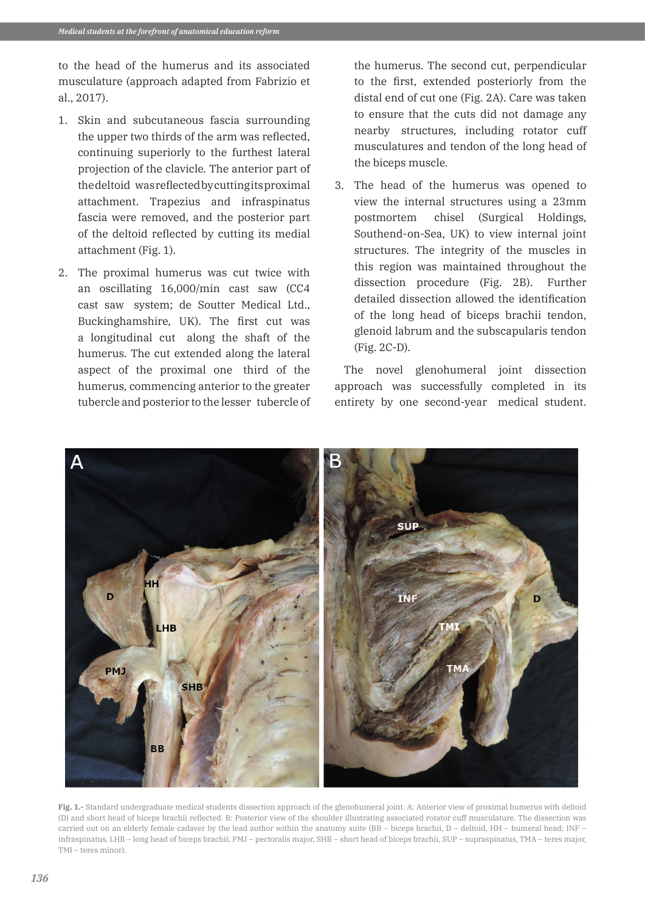to the head of the humerus and its associated musculature (approach adapted from Fabrizio et al., 2017).

- 1. Skin and subcutaneous fascia surrounding the upper two thirds of the arm was reflected, continuing superiorly to the furthest lateral projection of the clavicle. The anterior part of the deltoid was reflected by cutting its proximal attachment. Trapezius and infraspinatus fascia were removed, and the posterior part of the deltoid reflected by cutting its medial attachment (Fig. 1).
- 2. The proximal humerus was cut twice with an oscillating 16,000/min cast saw (CC4 cast saw system; de Soutter Medical Ltd., Buckinghamshire, UK). The first cut was a longitudinal cut along the shaft of the humerus. The cut extended along the lateral aspect of the proximal one third of the humerus, commencing anterior to the greater tubercle and posterior to the lesser tubercle of

the humerus. The second cut, perpendicular to the first, extended posteriorly from the distal end of cut one (Fig. 2A). Care was taken to ensure that the cuts did not damage any nearby structures, including rotator cuff musculatures and tendon of the long head of the biceps muscle.

3. The head of the humerus was opened to view the internal structures using a 23mm postmortem chisel (Surgical Holdings, Southend-on-Sea, UK) to view internal joint structures. The integrity of the muscles in this region was maintained throughout the dissection procedure (Fig. 2B). Further detailed dissection allowed the identification of the long head of biceps brachii tendon, glenoid labrum and the subscapularis tendon (Fig. 2C-D).

The novel glenohumeral joint dissection approach was successfully completed in its entirety by one second-year medical student.



**Fig. 1.-** Standard undergraduate medical students dissection approach of the glenohumeral joint. A: Anterior view of proximal humerus with deltoid (D) and short head of biceps brachii reflected. B: Posterior view of the shoulder illustrating associated rotator cuff musculature. The dissection was carried out on an elderly female cadaver by the lead author within the anatomy suite (BB – biceps brachii, D – deltoid, HH – humeral head; INF – infraspinatus, LHB – long head of biceps brachii; PMJ – pectoralis major, SHB – short head of biceps brachii, SUP – supraspinatus, TMA – teres major, TMI – teres minor).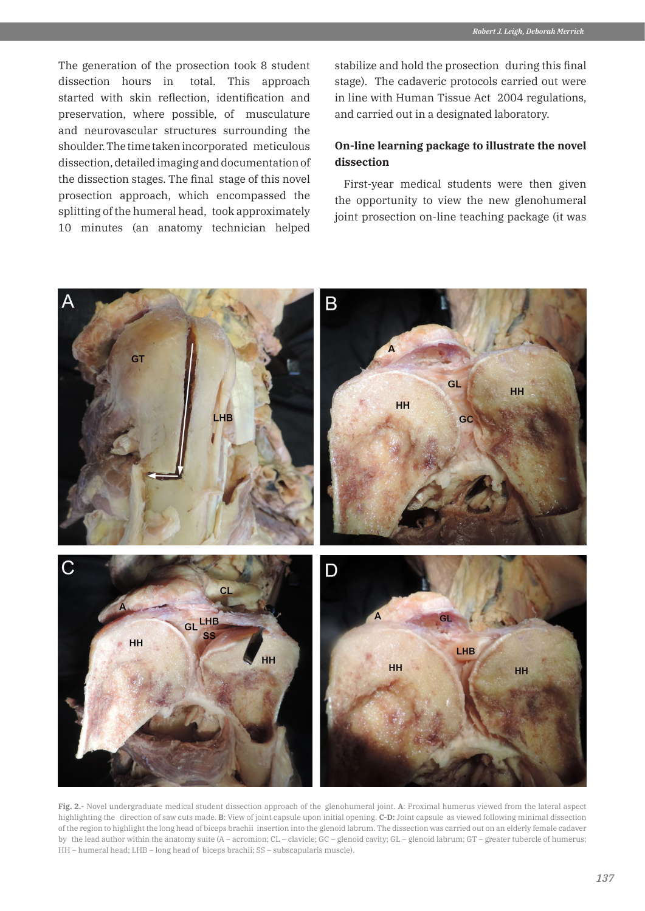The generation of the prosection took 8 student dissection hours in total. This approach started with skin reflection, identification and preservation, where possible, of musculature and neurovascular structures surrounding the shoulder. The time taken incorporated meticulous dissection, detailed imaging and documentation of the dissection stages. The final stage of this novel prosection approach, which encompassed the splitting of the humeral head, took approximately 10 minutes (an anatomy technician helped stabilize and hold the prosection during this final stage). The cadaveric protocols carried out were in line with Human Tissue Act 2004 regulations, and carried out in a designated laboratory.

## **On-line learning package to illustrate the novel dissection**

First-year medical students were then given the opportunity to view the new glenohumeral joint prosection on-line teaching package (it was



**Fig. 2.-** Novel undergraduate medical student dissection approach of the glenohumeral joint. **A**: Proximal humerus viewed from the lateral aspect highlighting the direction of saw cuts made. **B**: View of joint capsule upon initial opening. **C-D:** Joint capsule as viewed following minimal dissection of the region to highlight the long head of biceps brachii insertion into the glenoid labrum. The dissection was carried out on an elderly female cadaver by the lead author within the anatomy suite (A – acromion; CL – clavicle; GC – glenoid cavity; GL – glenoid labrum; GT – greater tubercle of humerus; HH – humeral head; LHB – long head of biceps brachii; SS – subscapularis muscle).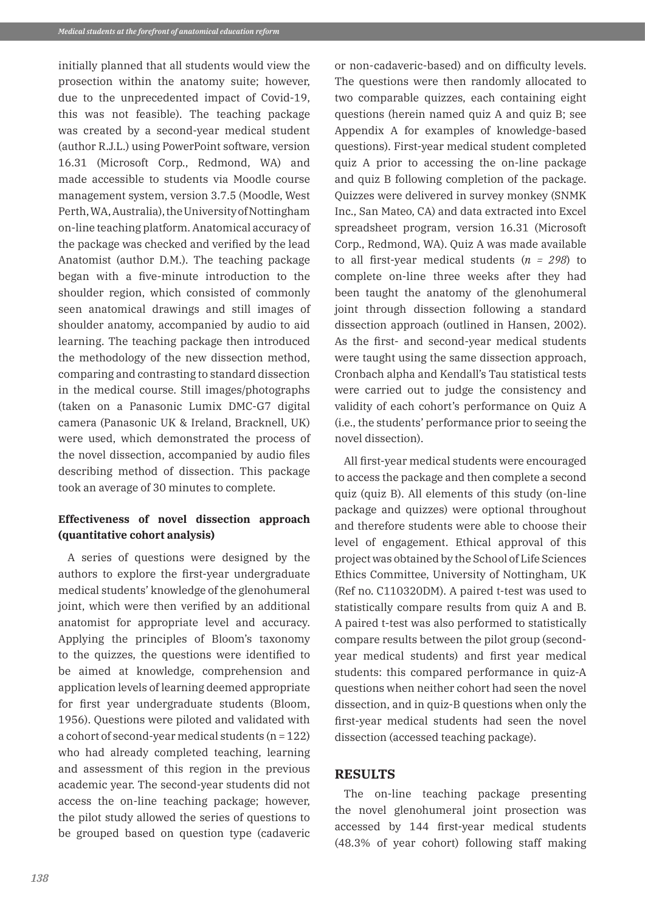initially planned that all students would view the prosection within the anatomy suite; however, due to the unprecedented impact of Covid-19, this was not feasible). The teaching package was created by a second-year medical student (author R.J.L.) using PowerPoint software, version 16.31 (Microsoft Corp., Redmond, WA) and made accessible to students via Moodle course management system, version 3.7.5 (Moodle, West Perth, WA, Australia), the University of Nottingham on-line teaching platform. Anatomical accuracy of the package was checked and verified by the lead Anatomist (author D.M.). The teaching package began with a five-minute introduction to the shoulder region, which consisted of commonly seen anatomical drawings and still images of shoulder anatomy, accompanied by audio to aid learning. The teaching package then introduced the methodology of the new dissection method, comparing and contrasting to standard dissection in the medical course. Still images/photographs (taken on a Panasonic Lumix DMC-G7 digital camera (Panasonic UK & Ireland, Bracknell, UK) were used, which demonstrated the process of the novel dissection, accompanied by audio files describing method of dissection. This package took an average of 30 minutes to complete.

# **Effectiveness of novel dissection approach (quantitative cohort analysis)**

A series of questions were designed by the authors to explore the first-year undergraduate medical students' knowledge of the glenohumeral joint, which were then verified by an additional anatomist for appropriate level and accuracy. Applying the principles of Bloom's taxonomy to the quizzes, the questions were identified to be aimed at knowledge, comprehension and application levels of learning deemed appropriate for first year undergraduate students (Bloom, 1956). Questions were piloted and validated with a cohort of second-year medical students (n = 122) who had already completed teaching, learning and assessment of this region in the previous academic year. The second-year students did not access the on-line teaching package; however, the pilot study allowed the series of questions to be grouped based on question type (cadaveric

or non-cadaveric-based) and on difficulty levels. The questions were then randomly allocated to two comparable quizzes, each containing eight questions (herein named quiz A and quiz B; see Appendix A for examples of knowledge-based questions). First-year medical student completed quiz A prior to accessing the on-line package and quiz B following completion of the package. Quizzes were delivered in survey monkey (SNMK Inc., San Mateo, CA) and data extracted into Excel spreadsheet program, version 16.31 (Microsoft Corp., Redmond, WA). Quiz A was made available to all first-year medical students (*n = 298*) to complete on-line three weeks after they had been taught the anatomy of the glenohumeral joint through dissection following a standard dissection approach (outlined in Hansen, 2002). As the first- and second-year medical students were taught using the same dissection approach, Cronbach alpha and Kendall's Tau statistical tests were carried out to judge the consistency and validity of each cohort's performance on Quiz A (i.e., the students' performance prior to seeing the novel dissection).

All first-year medical students were encouraged to access the package and then complete a second quiz (quiz B). All elements of this study (on-line package and quizzes) were optional throughout and therefore students were able to choose their level of engagement. Ethical approval of this project was obtained by the School of Life Sciences Ethics Committee, University of Nottingham, UK (Ref no. C110320DM). A paired t-test was used to statistically compare results from quiz A and B. A paired t-test was also performed to statistically compare results between the pilot group (secondyear medical students) and first year medical students: this compared performance in quiz-A questions when neither cohort had seen the novel dissection, and in quiz-B questions when only the first-year medical students had seen the novel dissection (accessed teaching package).

## **RESULTS**

The on-line teaching package presenting the novel glenohumeral joint prosection was accessed by 144 first-year medical students (48.3% of year cohort) following staff making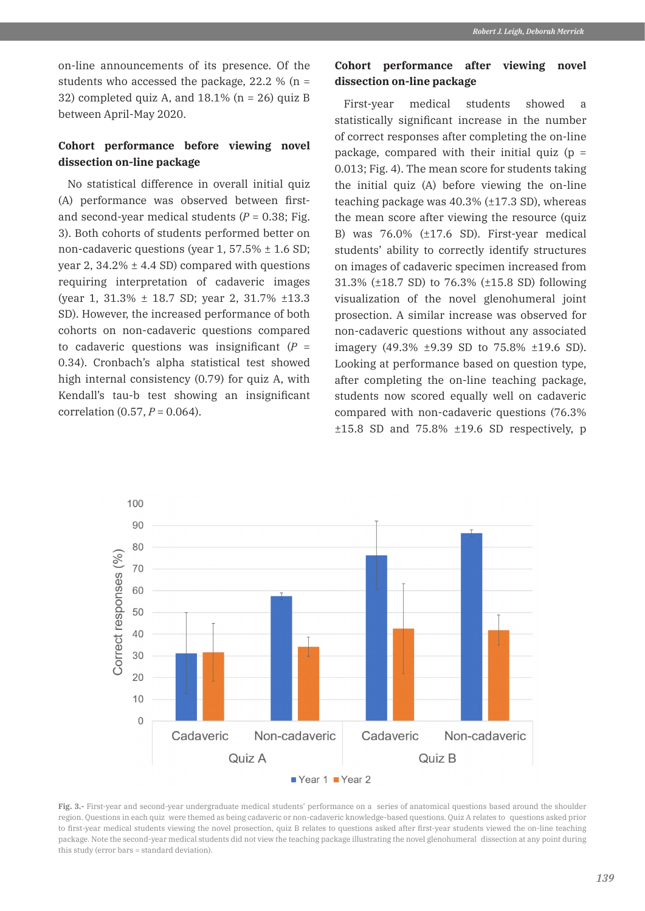on-line announcements of its presence. Of the students who accessed the package,  $22.2 \%$  (n = 32) completed quiz A, and  $18.1\%$  (n = 26) quiz B between April-May 2020.

# **Cohort performance before viewing novel dissection on-line package**

No statistical difference in overall initial quiz (A) performance was observed between firstand second-year medical students  $(P = 0.38;$  Fig. 3). Both cohorts of students performed better on non-cadaveric questions (year 1, 57.5% ± 1.6 SD; year 2,  $34.2\% \pm 4.4$  SD) compared with questions requiring interpretation of cadaveric images (year 1, 31.3% ± 18.7 SD; year 2, 31.7% ±13.3 SD). However, the increased performance of both cohorts on non-cadaveric questions compared to cadaveric questions was insignificant (*P* = 0.34). Cronbach's alpha statistical test showed high internal consistency (0.79) for quiz A, with Kendall's tau-b test showing an insignificant correlation (0.57, *P* = 0.064).

# **Cohort performance after viewing novel dissection on-line package**

First-year medical students showed a statistically significant increase in the number of correct responses after completing the on-line package, compared with their initial quiz  $(p =$ 0.013; Fig. 4). The mean score for students taking the initial quiz (A) before viewing the on-line teaching package was 40.3% (±17.3 SD), whereas the mean score after viewing the resource (quiz B) was 76.0% (±17.6 SD). First-year medical students' ability to correctly identify structures on images of cadaveric specimen increased from 31.3% (±18.7 SD) to 76.3% (±15.8 SD) following visualization of the novel glenohumeral joint prosection. A similar increase was observed for non-cadaveric questions without any associated imagery (49.3% ±9.39 SD to 75.8% ±19.6 SD). Looking at performance based on question type, after completing the on-line teaching package, students now scored equally well on cadaveric compared with non-cadaveric questions (76.3%  $\pm 15.8$  SD and 75.8%  $\pm 19.6$  SD respectively, p



**Fig. 3.-** First-year and second-year undergraduate medical students' performance on a series of anatomical questions based around the shoulder region. Questions in each quiz were themed as being cadaveric or non-cadaveric knowledge-based questions. Quiz A relates to questions asked prior to first-year medical students viewing the novel prosection, quiz B relates to questions asked after first-year students viewed the on-line teaching package. Note the second-year medical students did not view the teaching package illustrating the novel glenohumeral dissection at any point during this study (error bars = standard deviation).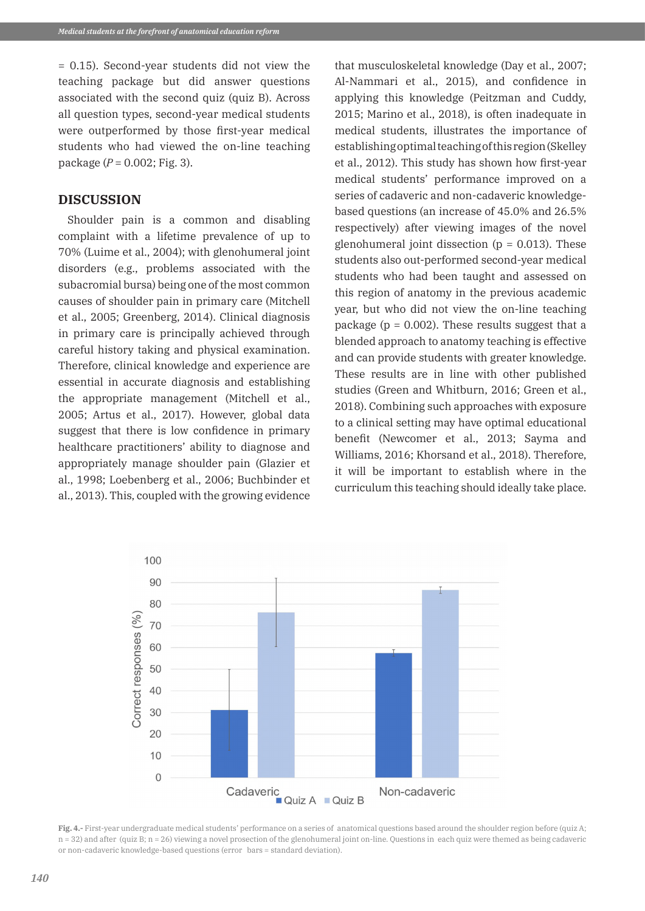= 0.15). Second-year students did not view the teaching package but did answer questions associated with the second quiz (quiz B). Across all question types, second-year medical students were outperformed by those first-year medical students who had viewed the on-line teaching package (*P* = 0.002; Fig. 3).

#### **DISCUSSION**

Shoulder pain is a common and disabling complaint with a lifetime prevalence of up to 70% (Luime et al., 2004); with glenohumeral joint disorders (e.g., problems associated with the subacromial bursa) being one of the most common causes of shoulder pain in primary care (Mitchell et al., 2005; Greenberg, 2014). Clinical diagnosis in primary care is principally achieved through careful history taking and physical examination. Therefore, clinical knowledge and experience are essential in accurate diagnosis and establishing the appropriate management (Mitchell et al., 2005; Artus et al., 2017). However, global data suggest that there is low confidence in primary healthcare practitioners' ability to diagnose and appropriately manage shoulder pain (Glazier et al., 1998; Loebenberg et al., 2006; Buchbinder et al., 2013). This, coupled with the growing evidence

that musculoskeletal knowledge (Day et al., 2007; Al-Nammari et al., 2015), and confidence in applying this knowledge (Peitzman and Cuddy, 2015; Marino et al., 2018), is often inadequate in medical students, illustrates the importance of establishing optimal teaching of this region (Skelley et al., 2012). This study has shown how first-year medical students' performance improved on a series of cadaveric and non-cadaveric knowledgebased questions (an increase of 45.0% and 26.5% respectively) after viewing images of the novel glenohumeral joint dissection ( $p = 0.013$ ). These students also out-performed second-year medical students who had been taught and assessed on this region of anatomy in the previous academic year, but who did not view the on-line teaching package ( $p = 0.002$ ). These results suggest that a blended approach to anatomy teaching is effective and can provide students with greater knowledge. These results are in line with other published studies (Green and Whitburn, 2016; Green et al., 2018). Combining such approaches with exposure to a clinical setting may have optimal educational benefit (Newcomer et al., 2013; Sayma and Williams, 2016; Khorsand et al., 2018). Therefore, it will be important to establish where in the curriculum this teaching should ideally take place.



**Fig. 4.-** First-year undergraduate medical students' performance on a series of anatomical questions based around the shoulder region before (quiz A; n = 32) and after (quiz B; n = 26) viewing a novel prosection of the glenohumeral joint on-line. Questions in each quiz were themed as being cadaveric or non-cadaveric knowledge-based questions (error bars = standard deviation).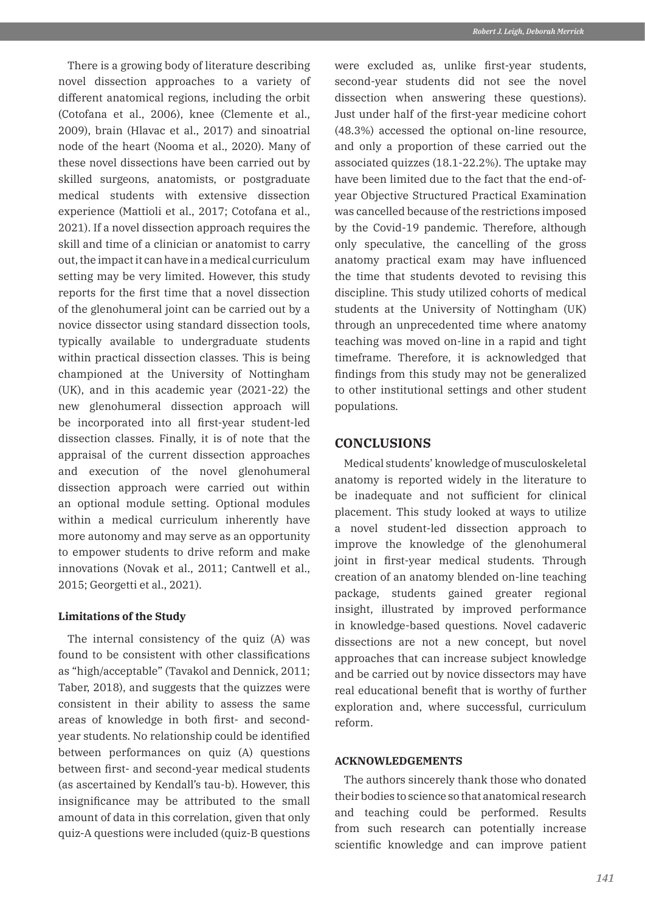There is a growing body of literature describing novel dissection approaches to a variety of different anatomical regions, including the orbit (Cotofana et al., 2006), knee (Clemente et al., 2009), brain (Hlavac et al., 2017) and sinoatrial node of the heart (Nooma et al., 2020). Many of these novel dissections have been carried out by skilled surgeons, anatomists, or postgraduate medical students with extensive dissection experience (Mattioli et al., 2017; Cotofana et al., 2021). If a novel dissection approach requires the skill and time of a clinician or anatomist to carry out, the impact it can have in a medical curriculum setting may be very limited. However, this study reports for the first time that a novel dissection of the glenohumeral joint can be carried out by a novice dissector using standard dissection tools, typically available to undergraduate students within practical dissection classes. This is being championed at the University of Nottingham (UK), and in this academic year (2021-22) the new glenohumeral dissection approach will be incorporated into all first-year student-led dissection classes. Finally, it is of note that the appraisal of the current dissection approaches and execution of the novel glenohumeral dissection approach were carried out within an optional module setting. Optional modules within a medical curriculum inherently have more autonomy and may serve as an opportunity to empower students to drive reform and make innovations (Novak et al., 2011; Cantwell et al., 2015; Georgetti et al., 2021).

#### **Limitations of the Study**

The internal consistency of the quiz (A) was found to be consistent with other classifications as "high/acceptable" (Tavakol and Dennick, 2011; Taber, 2018), and suggests that the quizzes were consistent in their ability to assess the same areas of knowledge in both first- and secondyear students. No relationship could be identified between performances on quiz (A) questions between first- and second-year medical students (as ascertained by Kendall's tau-b). However, this insignificance may be attributed to the small amount of data in this correlation, given that only quiz-A questions were included (quiz-B questions

were excluded as, unlike first-year students, second-year students did not see the novel dissection when answering these questions). Just under half of the first-year medicine cohort (48.3%) accessed the optional on-line resource, and only a proportion of these carried out the associated quizzes (18.1-22.2%). The uptake may have been limited due to the fact that the end-ofyear Objective Structured Practical Examination was cancelled because of the restrictions imposed by the Covid-19 pandemic. Therefore, although only speculative, the cancelling of the gross anatomy practical exam may have influenced the time that students devoted to revising this discipline. This study utilized cohorts of medical students at the University of Nottingham (UK) through an unprecedented time where anatomy teaching was moved on-line in a rapid and tight timeframe. Therefore, it is acknowledged that findings from this study may not be generalized to other institutional settings and other student populations.

## **CONCLUSIONS**

Medical students' knowledge of musculoskeletal anatomy is reported widely in the literature to be inadequate and not sufficient for clinical placement. This study looked at ways to utilize a novel student-led dissection approach to improve the knowledge of the glenohumeral joint in first-year medical students. Through creation of an anatomy blended on-line teaching package, students gained greater regional insight, illustrated by improved performance in knowledge-based questions. Novel cadaveric dissections are not a new concept, but novel approaches that can increase subject knowledge and be carried out by novice dissectors may have real educational benefit that is worthy of further exploration and, where successful, curriculum reform.

#### **ACKNOWLEDGEMENTS**

The authors sincerely thank those who donated their bodies to science so that anatomical research and teaching could be performed. Results from such research can potentially increase scientific knowledge and can improve patient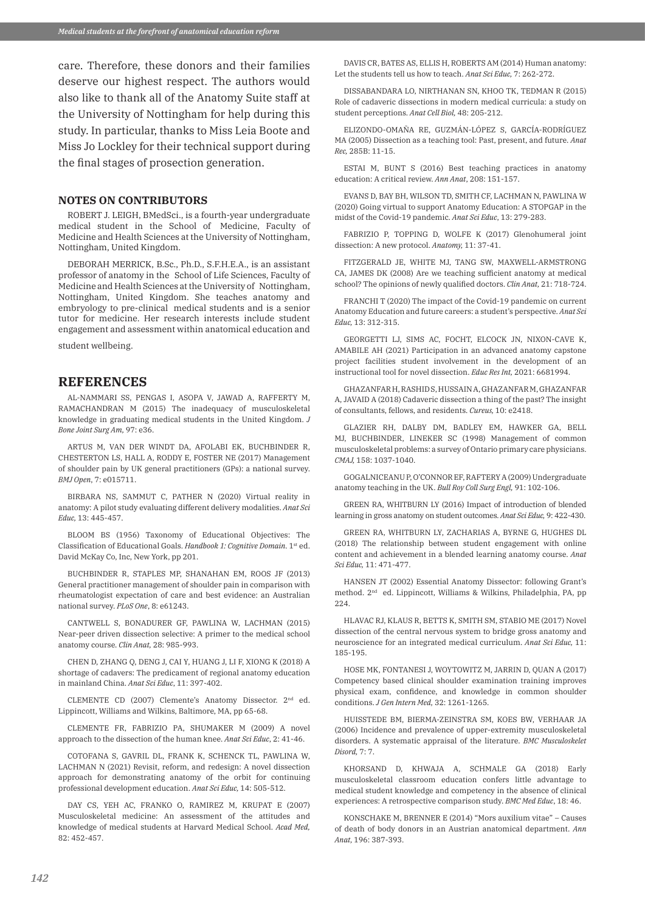care. Therefore, these donors and their families deserve our highest respect. The authors would also like to thank all of the Anatomy Suite staff at the University of Nottingham for help during this study. In particular, thanks to Miss Leia Boote and Miss Jo Lockley for their technical support during the final stages of prosection generation.

#### **NOTES ON CONTRIBUTORS**

ROBERT J. LEIGH, BMedSci., is a fourth-year undergraduate medical student in the School of Medicine, Faculty of Medicine and Health Sciences at the University of Nottingham, Nottingham, United Kingdom.

DEBORAH MERRICK, B.Sc., Ph.D., S.F.H.E.A., is an assistant professor of anatomy in the School of Life Sciences, Faculty of Medicine and Health Sciences at the University of Nottingham, Nottingham, United Kingdom. She teaches anatomy and embryology to pre-clinical medical students and is a senior tutor for medicine. Her research interests include student engagement and assessment within anatomical education and

student wellbeing.

#### **REFERENCES**

AL-NAMMARI SS, PENGAS I, ASOPA V, JAWAD A, RAFFERTY M, RAMACHANDRAN M (2015) The inadequacy of musculoskeletal knowledge in graduating medical students in the United Kingdom. *J Bone Joint Surg Am,* 97: e36.

ARTUS M, VAN DER WINDT DA, AFOLABI EK, BUCHBINDER R, CHESTERTON LS, HALL A, RODDY E, FOSTER NE (2017) Management of shoulder pain by UK general practitioners (GPs): a national survey. *BMJ Open*, 7: e015711.

BIRBARA NS, SAMMUT C, PATHER N (2020) Virtual reality in anatomy: A pilot study evaluating different delivery modalities. *Anat Sci Educ,* 13: 445-457.

BLOOM BS (1956) Taxonomy of Educational Objectives: The Classification of Educational Goals. *Handbook 1: Cognitive Domain*. 1st ed. David McKay Co, Inc, New York, pp 201.

BUCHBINDER R, STAPLES MP, SHANAHAN EM, ROOS JF (2013) General practitioner management of shoulder pain in comparison with rheumatologist expectation of care and best evidence: an Australian national survey. *PLoS One*, 8: e61243.

CANTWELL S, BONADURER GF, PAWLINA W, LACHMAN (2015) Near-peer driven dissection selective: A primer to the medical school anatomy course. *Clin Anat,* 28: 985-993.

CHEN D, ZHANG Q, DENG J, CAI Y, HUANG J, LI F, XIONG K (2018) A shortage of cadavers: The predicament of regional anatomy education in mainland China. *Anat Sci Educ*, 11: 397-402.

CLEMENTE CD (2007) Clemente's Anatomy Dissector. 2nd ed. Lippincott, Williams and Wilkins, Baltimore, MA, pp 65-68.

CLEMENTE FR, FABRIZIO PA, SHUMAKER M (2009) A novel approach to the dissection of the human knee. *Anat Sci Educ*, 2: 41-46.

COTOFANA S, GAVRIL DL, FRANK K, SCHENCK TL, PAWLINA W, LACHMAN N (2021) Revisit, reform, and redesign: A novel dissection approach for demonstrating anatomy of the orbit for continuing professional development education. *Anat Sci Educ,* 14: 505-512.

DAY CS, YEH AC, FRANKO O, RAMIREZ M, KRUPAT E (2007) Musculoskeletal medicine: An assessment of the attitudes and knowledge of medical students at Harvard Medical School. *Acad Med,*  82: 452-457.

DAVIS CR, BATES AS, ELLIS H, ROBERTS AM (2014) Human anatomy: Let the students tell us how to teach. *Anat Sci Educ,* 7: 262-272.

DISSABANDARA LO, NIRTHANAN SN, KHOO TK, TEDMAN R (2015) Role of cadaveric dissections in modern medical curricula: a study on student perceptions. *Anat Cell Biol,* 48: 205-212.

ELIZONDO-OMAÑA RE, GUZMÁN-LÓPEZ S, GARCÍA-RODRÍGUEZ MA (2005) Dissection as a teaching tool: Past, present, and future. *Anat Rec,* 285B: 11-15.

ESTAI M, BUNT S (2016) Best teaching practices in anatomy education: A critical review. *Ann Anat*, 208: 151-157.

EVANS D, BAY BH, WILSON TD, SMITH CF, LACHMAN N, PAWLINA W (2020) Going virtual to support Anatomy Education: A STOPGAP in the midst of the Covid-19 pandemic. *Anat Sci Educ*, 13: 279-283.

FABRIZIO P, TOPPING D, WOLFE K (2017) Glenohumeral joint dissection: A new protocol. *Anatomy,* 11: 37-41.

FITZGERALD JE, WHITE MJ, TANG SW, MAXWELL-ARMSTRONG CA, JAMES DK (2008) Are we teaching sufficient anatomy at medical school? The opinions of newly qualified doctors. *Clin Anat,* 21: 718-724.

FRANCHI T (2020) The impact of the Covid-19 pandemic on current Anatomy Education and future careers: a student's perspective. *Anat Sci Educ,* 13: 312-315.

GEORGETTI LJ, SIMS AC, FOCHT, ELCOCK JN, NIXON-CAVE K, AMABILE AH (2021) Participation in an advanced anatomy capstone project facilities student involvement in the development of an instructional tool for novel dissection. *Educ Res Int,* 2021: 6681994.

GHAZANFAR H, RASHID S, HUSSAIN A, GHAZANFAR M, GHAZANFAR A, JAVAID A (2018) Cadaveric dissection a thing of the past? The insight of consultants, fellows, and residents. *Cureus,* 10: e2418.

GLAZIER RH, DALBY DM, BADLEY EM, HAWKER GA, BELL MJ, BUCHBINDER, LINEKER SC (1998) Management of common musculoskeletal problems: a survey of Ontario primary care physicians. *CMAJ,* 158: 1037-1040.

GOGALNICEANU P, O'CONNOR EF, RAFTERY A (2009) Undergraduate anatomy teaching in the UK. *Bull Roy Coll Surg Engl,* 91: 102-106.

GREEN RA, WHITBURN LY (2016) Impact of introduction of blended learning in gross anatomy on student outcomes. *Anat Sci Educ,* 9: 422-430.

GREEN RA, WHITBURN LY, ZACHARIAS A, BYRNE G, HUGHES DL (2018) The relationship between student engagement with online content and achievement in a blended learning anatomy course. *Anat Sci Educ,* 11: 471-477.

HANSEN JT (2002) Essential Anatomy Dissector: following Grant's method. 2nd ed. Lippincott, Williams & Wilkins, Philadelphia, PA, pp 224.

HLAVAC RJ, KLAUS R, BETTS K, SMITH SM, STABIO ME (2017) Novel dissection of the central nervous system to bridge gross anatomy and neuroscience for an integrated medical curriculum. *Anat Sci Educ,* 11: 185-195.

HOSE MK, FONTANESI J, WOYTOWITZ M, JARRIN D, QUAN A (2017) Competency based clinical shoulder examination training improves physical exam, confidence, and knowledge in common shoulder conditions. *J Gen Intern Med,* 32: 1261-1265.

HUISSTEDE BM, BIERMA-ZEINSTRA SM, KOES BW, VERHAAR JA (2006) Incidence and prevalence of upper-extremity musculoskeletal disorders. A systematic appraisal of the literature. *BMC Musculoskelet Disord,* 7: 7.

KHORSAND D, KHWAJA A, SCHMALE GA (2018) Early musculoskeletal classroom education confers little advantage to medical student knowledge and competency in the absence of clinical experiences: A retrospective comparison study. *BMC Med Educ*, 18: 46.

KONSCHAKE M, BRENNER E (2014) "Mors auxilium vitae" – Causes of death of body donors in an Austrian anatomical department. *Ann Anat,* 196: 387-393.